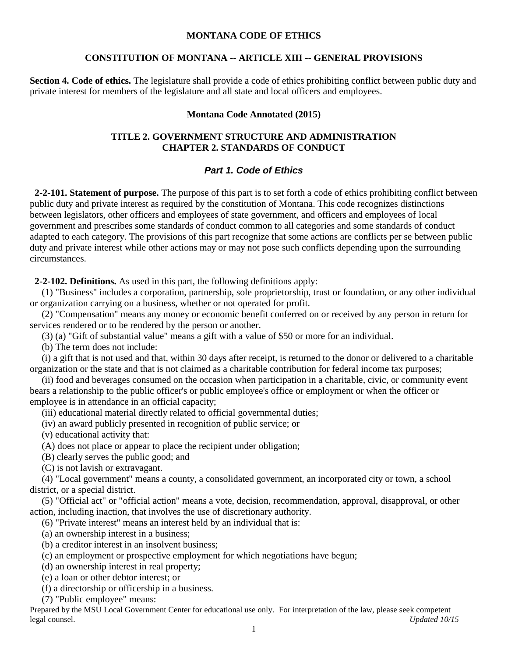## **MONTANA CODE OF ETHICS**

## **CONSTITUTION OF MONTANA -- ARTICLE XIII -- GENERAL PROVISIONS**

**Section 4. Code of ethics.** The legislature shall provide a code of ethics prohibiting conflict between public duty and private interest for members of the legislature and all state and local officers and employees.

## **Montana Code Annotated (2015)**

# **TITLE 2. GOVERNMENT STRUCTURE AND ADMINISTRATION CHAPTER 2. STANDARDS OF CONDUCT**

## *Part 1. Code of Ethics*

 **2-2-101. Statement of purpose.** The purpose of this part is to set forth a code of ethics prohibiting conflict between public duty and private interest as required by the constitution of Montana. This code recognizes distinctions between legislators, other officers and employees of state government, and officers and employees of local government and prescribes some standards of conduct common to all categories and some standards of conduct adapted to each category. The provisions of this part recognize that some actions are conflicts per se between public duty and private interest while other actions may or may not pose such conflicts depending upon the surrounding circumstances.

**2-2-102. Definitions.** As used in this part, the following definitions apply:

 (1) "Business" includes a corporation, partnership, sole proprietorship, trust or foundation, or any other individual or organization carrying on a business, whether or not operated for profit.

 (2) "Compensation" means any money or economic benefit conferred on or received by any person in return for services rendered or to be rendered by the person or another.

(3) (a) "Gift of substantial value" means a gift with a value of \$50 or more for an individual.

(b) The term does not include:

 (i) a gift that is not used and that, within 30 days after receipt, is returned to the donor or delivered to a charitable organization or the state and that is not claimed as a charitable contribution for federal income tax purposes;

 (ii) food and beverages consumed on the occasion when participation in a charitable, civic, or community event bears a relationship to the public officer's or public employee's office or employment or when the officer or employee is in attendance in an official capacity;

(iii) educational material directly related to official governmental duties;

(iv) an award publicly presented in recognition of public service; or

(v) educational activity that:

(A) does not place or appear to place the recipient under obligation;

(B) clearly serves the public good; and

(C) is not lavish or extravagant.

 (4) "Local government" means a county, a consolidated government, an incorporated city or town, a school district, or a special district.

 (5) "Official act" or "official action" means a vote, decision, recommendation, approval, disapproval, or other action, including inaction, that involves the use of discretionary authority.

(6) "Private interest" means an interest held by an individual that is:

(a) an ownership interest in a business;

- (b) a creditor interest in an insolvent business;
- (c) an employment or prospective employment for which negotiations have begun;
- (d) an ownership interest in real property;
- (e) a loan or other debtor interest; or
- (f) a directorship or officership in a business.

(7) "Public employee" means: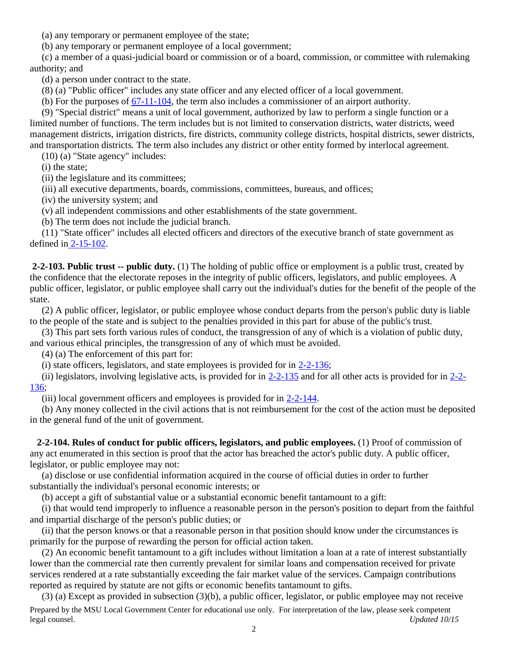(a) any temporary or permanent employee of the state;

(b) any temporary or permanent employee of a local government;

 (c) a member of a quasi-judicial board or commission or of a board, commission, or committee with rulemaking authority; and

(d) a person under contract to the state.

(8) (a) "Public officer" includes any state officer and any elected officer of a local government.

(b) For the purposes of [67-11-104,](http://leg.mt.gov/bills/mca/67/11/67-11-104.htm) the term also includes a commissioner of an airport authority.

 (9) "Special district" means a unit of local government, authorized by law to perform a single function or a limited number of functions. The term includes but is not limited to conservation districts, water districts, weed management districts, irrigation districts, fire districts, community college districts, hospital districts, sewer districts, and transportation districts. The term also includes any district or other entity formed by interlocal agreement.

(10) (a) "State agency" includes:

(i) the state;

(ii) the legislature and its committees;

(iii) all executive departments, boards, commissions, committees, bureaus, and offices;

(iv) the university system; and

(v) all independent commissions and other establishments of the state government.

(b) The term does not include the judicial branch.

 (11) "State officer" includes all elected officers and directors of the executive branch of state government as defined in [2-15-102.](http://leg.mt.gov/bills/mca/2/15/2-15-102.htm)

**2-2-103. Public trust -- public duty.** (1) The holding of public office or employment is a public trust, created by the confidence that the electorate reposes in the integrity of public officers, legislators, and public employees. A public officer, legislator, or public employee shall carry out the individual's duties for the benefit of the people of the state.

 (2) A public officer, legislator, or public employee whose conduct departs from the person's public duty is liable to the people of the state and is subject to the penalties provided in this part for abuse of the public's trust.

 (3) This part sets forth various rules of conduct, the transgression of any of which is a violation of public duty, and various ethical principles, the transgression of any of which must be avoided.

(4) (a) The enforcement of this part for:

(i) state officers, legislators, and state employees is provided for in [2-2-136;](http://leg.mt.gov/bills/mca/2/2/2-2-136.htm)

 (ii) legislators, involving legislative acts, is provided for in [2-2-135](http://leg.mt.gov/bills/mca/2/2/2-2-135.htm) and for all other acts is provided for in [2-2-](http://leg.mt.gov/bills/mca/2/2/2-2-136.htm) [136;](http://leg.mt.gov/bills/mca/2/2/2-2-136.htm)

(iii) local government officers and employees is provided for in [2-2-144.](http://leg.mt.gov/bills/mca/2/2/2-2-144.htm)

 (b) Any money collected in the civil actions that is not reimbursement for the cost of the action must be deposited in the general fund of the unit of government.

 **2-2-104. Rules of conduct for public officers, legislators, and public employees.** (1) Proof of commission of any act enumerated in this section is proof that the actor has breached the actor's public duty. A public officer, legislator, or public employee may not:

 (a) disclose or use confidential information acquired in the course of official duties in order to further substantially the individual's personal economic interests; or

(b) accept a gift of substantial value or a substantial economic benefit tantamount to a gift:

 (i) that would tend improperly to influence a reasonable person in the person's position to depart from the faithful and impartial discharge of the person's public duties; or

 (ii) that the person knows or that a reasonable person in that position should know under the circumstances is primarily for the purpose of rewarding the person for official action taken.

 (2) An economic benefit tantamount to a gift includes without limitation a loan at a rate of interest substantially lower than the commercial rate then currently prevalent for similar loans and compensation received for private services rendered at a rate substantially exceeding the fair market value of the services. Campaign contributions reported as required by statute are not gifts or economic benefits tantamount to gifts.

(3) (a) Except as provided in subsection (3)(b), a public officer, legislator, or public employee may not receive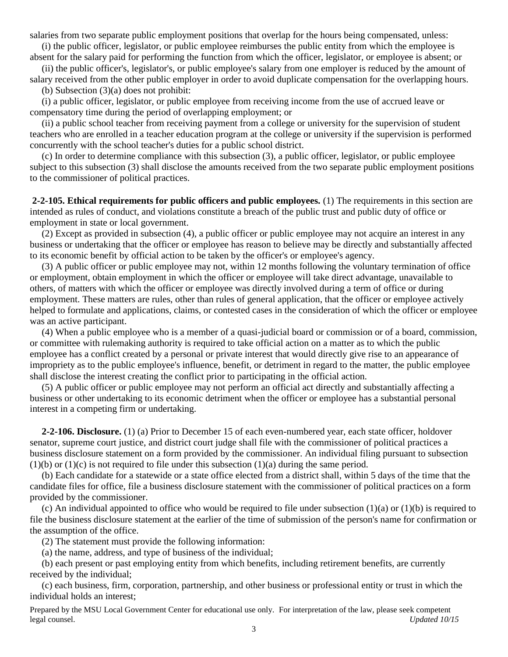salaries from two separate public employment positions that overlap for the hours being compensated, unless:

 (i) the public officer, legislator, or public employee reimburses the public entity from which the employee is absent for the salary paid for performing the function from which the officer, legislator, or employee is absent; or

 (ii) the public officer's, legislator's, or public employee's salary from one employer is reduced by the amount of salary received from the other public employer in order to avoid duplicate compensation for the overlapping hours.

(b) Subsection (3)(a) does not prohibit:

 (i) a public officer, legislator, or public employee from receiving income from the use of accrued leave or compensatory time during the period of overlapping employment; or

 (ii) a public school teacher from receiving payment from a college or university for the supervision of student teachers who are enrolled in a teacher education program at the college or university if the supervision is performed concurrently with the school teacher's duties for a public school district.

 (c) In order to determine compliance with this subsection (3), a public officer, legislator, or public employee subject to this subsection (3) shall disclose the amounts received from the two separate public employment positions to the commissioner of political practices.

**2-2-105. Ethical requirements for public officers and public employees.** (1) The requirements in this section are intended as rules of conduct, and violations constitute a breach of the public trust and public duty of office or employment in state or local government.

 (2) Except as provided in subsection (4), a public officer or public employee may not acquire an interest in any business or undertaking that the officer or employee has reason to believe may be directly and substantially affected to its economic benefit by official action to be taken by the officer's or employee's agency.

 (3) A public officer or public employee may not, within 12 months following the voluntary termination of office or employment, obtain employment in which the officer or employee will take direct advantage, unavailable to others, of matters with which the officer or employee was directly involved during a term of office or during employment. These matters are rules, other than rules of general application, that the officer or employee actively helped to formulate and applications, claims, or contested cases in the consideration of which the officer or employee was an active participant.

 (4) When a public employee who is a member of a quasi-judicial board or commission or of a board, commission, or committee with rulemaking authority is required to take official action on a matter as to which the public employee has a conflict created by a personal or private interest that would directly give rise to an appearance of impropriety as to the public employee's influence, benefit, or detriment in regard to the matter, the public employee shall disclose the interest creating the conflict prior to participating in the official action.

 (5) A public officer or public employee may not perform an official act directly and substantially affecting a business or other undertaking to its economic detriment when the officer or employee has a substantial personal interest in a competing firm or undertaking.

 **2-2-106. Disclosure.** (1) (a) Prior to December 15 of each even-numbered year, each state officer, holdover senator, supreme court justice, and district court judge shall file with the commissioner of political practices a business disclosure statement on a form provided by the commissioner. An individual filing pursuant to subsection  $(1)(b)$  or  $(1)(c)$  is not required to file under this subsection  $(1)(a)$  during the same period.

 (b) Each candidate for a statewide or a state office elected from a district shall, within 5 days of the time that the candidate files for office, file a business disclosure statement with the commissioner of political practices on a form provided by the commissioner.

(c) An individual appointed to office who would be required to file under subsection  $(1)(a)$  or  $(1)(b)$  is required to file the business disclosure statement at the earlier of the time of submission of the person's name for confirmation or the assumption of the office.

(2) The statement must provide the following information:

(a) the name, address, and type of business of the individual;

 (b) each present or past employing entity from which benefits, including retirement benefits, are currently received by the individual;

 (c) each business, firm, corporation, partnership, and other business or professional entity or trust in which the individual holds an interest;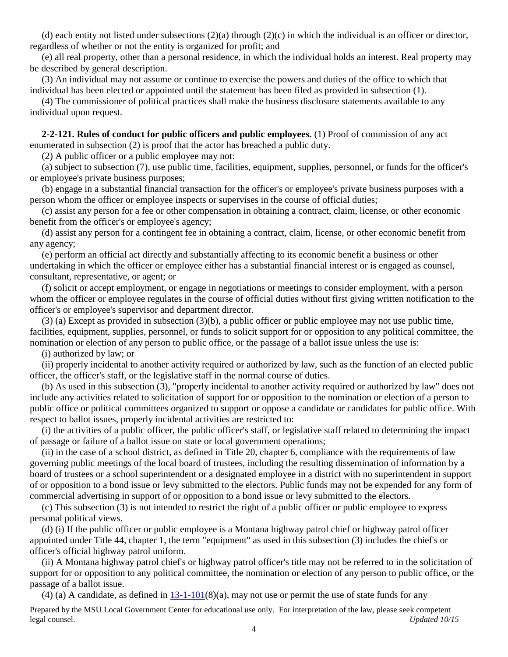(d) each entity not listed under subsections  $(2)(a)$  through  $(2)(c)$  in which the individual is an officer or director, regardless of whether or not the entity is organized for profit; and

 (e) all real property, other than a personal residence, in which the individual holds an interest. Real property may be described by general description.

 (3) An individual may not assume or continue to exercise the powers and duties of the office to which that individual has been elected or appointed until the statement has been filed as provided in subsection (1).

 (4) The commissioner of political practices shall make the business disclosure statements available to any individual upon request.

 **2-2-121. Rules of conduct for public officers and public employees.** (1) Proof of commission of any act enumerated in subsection (2) is proof that the actor has breached a public duty.

(2) A public officer or a public employee may not:

 (a) subject to subsection (7), use public time, facilities, equipment, supplies, personnel, or funds for the officer's or employee's private business purposes;

 (b) engage in a substantial financial transaction for the officer's or employee's private business purposes with a person whom the officer or employee inspects or supervises in the course of official duties;

 (c) assist any person for a fee or other compensation in obtaining a contract, claim, license, or other economic benefit from the officer's or employee's agency;

 (d) assist any person for a contingent fee in obtaining a contract, claim, license, or other economic benefit from any agency;

 (e) perform an official act directly and substantially affecting to its economic benefit a business or other undertaking in which the officer or employee either has a substantial financial interest or is engaged as counsel, consultant, representative, or agent; or

 (f) solicit or accept employment, or engage in negotiations or meetings to consider employment, with a person whom the officer or employee regulates in the course of official duties without first giving written notification to the officer's or employee's supervisor and department director.

 (3) (a) Except as provided in subsection (3)(b), a public officer or public employee may not use public time, facilities, equipment, supplies, personnel, or funds to solicit support for or opposition to any political committee, the nomination or election of any person to public office, or the passage of a ballot issue unless the use is:

(i) authorized by law; or

 (ii) properly incidental to another activity required or authorized by law, such as the function of an elected public officer, the officer's staff, or the legislative staff in the normal course of duties.

 (b) As used in this subsection (3), "properly incidental to another activity required or authorized by law" does not include any activities related to solicitation of support for or opposition to the nomination or election of a person to public office or political committees organized to support or oppose a candidate or candidates for public office. With respect to ballot issues, properly incidental activities are restricted to:

 (i) the activities of a public officer, the public officer's staff, or legislative staff related to determining the impact of passage or failure of a ballot issue on state or local government operations;

 (ii) in the case of a school district, as defined in Title 20, chapter 6, compliance with the requirements of law governing public meetings of the local board of trustees, including the resulting dissemination of information by a board of trustees or a school superintendent or a designated employee in a district with no superintendent in support of or opposition to a bond issue or levy submitted to the electors. Public funds may not be expended for any form of commercial advertising in support of or opposition to a bond issue or levy submitted to the electors.

 (c) This subsection (3) is not intended to restrict the right of a public officer or public employee to express personal political views.

 (d) (i) If the public officer or public employee is a Montana highway patrol chief or highway patrol officer appointed under Title 44, chapter 1, the term "equipment" as used in this subsection (3) includes the chief's or officer's official highway patrol uniform.

 (ii) A Montana highway patrol chief's or highway patrol officer's title may not be referred to in the solicitation of support for or opposition to any political committee, the nomination or election of any person to public office, or the passage of a ballot issue.

(4) (a) A candidate, as defined in  $13-1-101(8)$  $13-1-101(8)$ (a), may not use or permit the use of state funds for any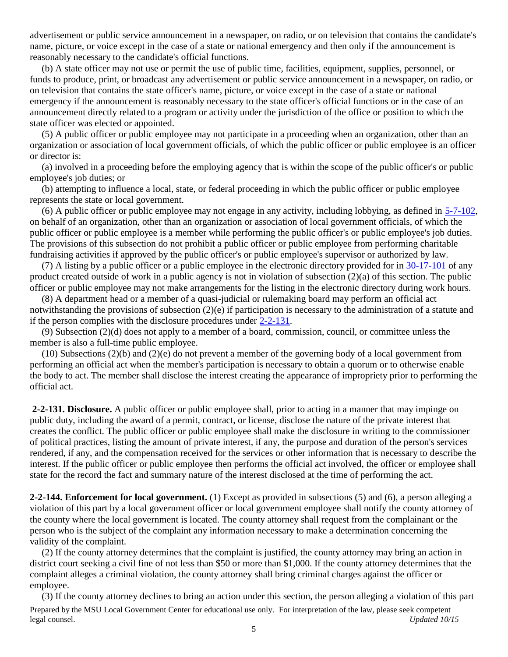advertisement or public service announcement in a newspaper, on radio, or on television that contains the candidate's name, picture, or voice except in the case of a state or national emergency and then only if the announcement is reasonably necessary to the candidate's official functions.

 (b) A state officer may not use or permit the use of public time, facilities, equipment, supplies, personnel, or funds to produce, print, or broadcast any advertisement or public service announcement in a newspaper, on radio, or on television that contains the state officer's name, picture, or voice except in the case of a state or national emergency if the announcement is reasonably necessary to the state officer's official functions or in the case of an announcement directly related to a program or activity under the jurisdiction of the office or position to which the state officer was elected or appointed.

 (5) A public officer or public employee may not participate in a proceeding when an organization, other than an organization or association of local government officials, of which the public officer or public employee is an officer or director is:

 (a) involved in a proceeding before the employing agency that is within the scope of the public officer's or public employee's job duties; or

 (b) attempting to influence a local, state, or federal proceeding in which the public officer or public employee represents the state or local government.

 (6) A public officer or public employee may not engage in any activity, including lobbying, as defined in [5-7-102,](http://leg.mt.gov/bills/mca/5/7/5-7-102.htm) on behalf of an organization, other than an organization or association of local government officials, of which the public officer or public employee is a member while performing the public officer's or public employee's job duties. The provisions of this subsection do not prohibit a public officer or public employee from performing charitable fundraising activities if approved by the public officer's or public employee's supervisor or authorized by law.

 (7) A listing by a public officer or a public employee in the electronic directory provided for in [30-17-101](http://leg.mt.gov/bills/mca/30/17/30-17-101.htm) of any product created outside of work in a public agency is not in violation of subsection (2)(a) of this section. The public officer or public employee may not make arrangements for the listing in the electronic directory during work hours.

 (8) A department head or a member of a quasi-judicial or rulemaking board may perform an official act notwithstanding the provisions of subsection (2)(e) if participation is necessary to the administration of a statute and if the person complies with the disclosure procedures under [2-2-131.](http://leg.mt.gov/bills/mca/2/2/2-2-131.htm)

 (9) Subsection (2)(d) does not apply to a member of a board, commission, council, or committee unless the member is also a full-time public employee.

 (10) Subsections (2)(b) and (2)(e) do not prevent a member of the governing body of a local government from performing an official act when the member's participation is necessary to obtain a quorum or to otherwise enable the body to act. The member shall disclose the interest creating the appearance of impropriety prior to performing the official act.

**2-2-131. Disclosure.** A public officer or public employee shall, prior to acting in a manner that may impinge on public duty, including the award of a permit, contract, or license, disclose the nature of the private interest that creates the conflict. The public officer or public employee shall make the disclosure in writing to the commissioner of political practices, listing the amount of private interest, if any, the purpose and duration of the person's services rendered, if any, and the compensation received for the services or other information that is necessary to describe the interest. If the public officer or public employee then performs the official act involved, the officer or employee shall state for the record the fact and summary nature of the interest disclosed at the time of performing the act.

**2-2-144. Enforcement for local government.** (1) Except as provided in subsections (5) and (6), a person alleging a violation of this part by a local government officer or local government employee shall notify the county attorney of the county where the local government is located. The county attorney shall request from the complainant or the person who is the subject of the complaint any information necessary to make a determination concerning the validity of the complaint.

 (2) If the county attorney determines that the complaint is justified, the county attorney may bring an action in district court seeking a civil fine of not less than \$50 or more than \$1,000. If the county attorney determines that the complaint alleges a criminal violation, the county attorney shall bring criminal charges against the officer or employee.

(3) If the county attorney declines to bring an action under this section, the person alleging a violation of this part